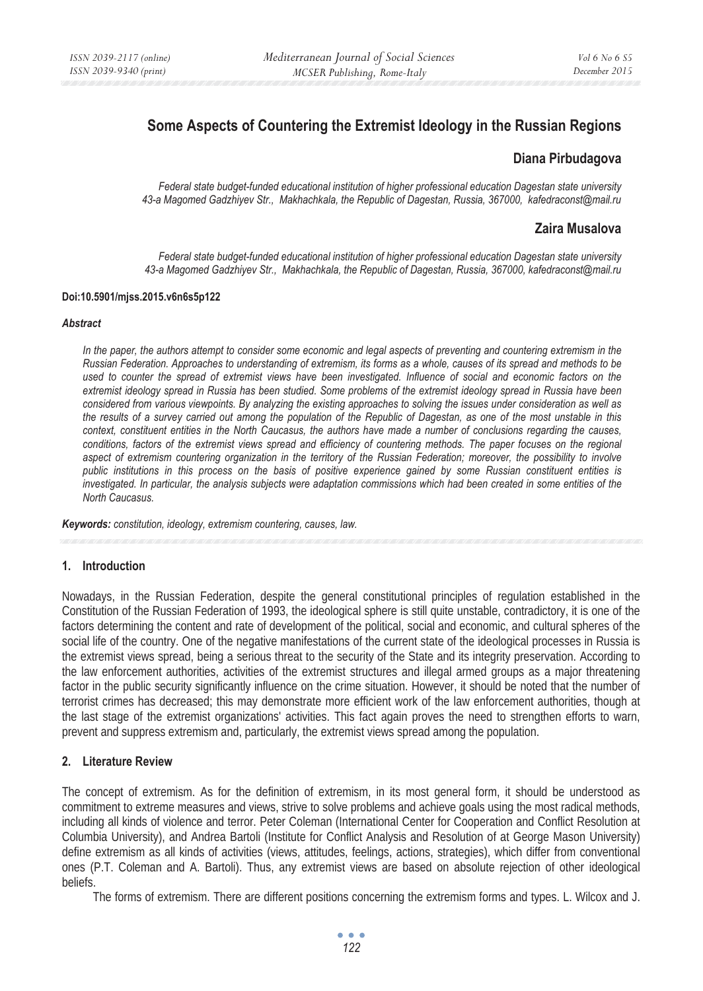# **Some Aspects of Countering the Extremist Ideology in the Russian Regions**

# **Diana Pirbudagova**

*Federal state budget-funded educational institution of higher professional education Dagestan state university 43-a Magomed Gadzhiyev Str., Makhachkala, the Republic of Dagestan, Russia, 367000, kafedraconst@mail.ru* 

# **Zaira Musalova**

*Federal state budget-funded educational institution of higher professional education Dagestan state university 43-a Magomed Gadzhiyev Str., Makhachkala, the Republic of Dagestan, Russia, 367000, kafedraconst@mail.ru* 

#### **Doi:10.5901/mjss.2015.v6n6s5p122**

#### *Abstract*

*In the paper, the authors attempt to consider some economic and legal aspects of preventing and countering extremism in the Russian Federation. Approaches to understanding of extremism, its forms as a whole, causes of its spread and methods to be*  used to counter the spread of extremist views have been investigated. Influence of social and economic factors on the *extremist ideology spread in Russia has been studied. Some problems of the extremist ideology spread in Russia have been considered from various viewpoints. By analyzing the existing approaches to solving the issues under consideration as well as the results of a survey carried out among the population of the Republic of Dagestan, as one of the most unstable in this context, constituent entities in the North Caucasus, the authors have made a number of conclusions regarding the causes,*  conditions, factors of the extremist views spread and efficiency of countering methods. The paper focuses on the regional *aspect of extremism countering organization in the territory of the Russian Federation; moreover, the possibility to involve public institutions in this process on the basis of positive experience gained by some Russian constituent entities is investigated. In particular, the analysis subjects were adaptation commissions which had been created in some entities of the North Caucasus.* 

*Keywords: constitution, ideology, extremism countering, causes, law.*

#### **1. Introduction**

Nowadays, in the Russian Federation, despite the general constitutional principles of regulation established in the Constitution of the Russian Federation of 1993, the ideological sphere is still quite unstable, contradictory, it is one of the factors determining the content and rate of development of the political, social and economic, and cultural spheres of the social life of the country. One of the negative manifestations of the current state of the ideological processes in Russia is the extremist views spread, being a serious threat to the security of the State and its integrity preservation. According to the law enforcement authorities, activities of the extremist structures and illegal armed groups as a major threatening factor in the public security significantly influence on the crime situation. However, it should be noted that the number of terrorist crimes has decreased; this may demonstrate more efficient work of the law enforcement authorities, though at the last stage of the extremist organizations' activities. This fact again proves the need to strengthen efforts to warn, prevent and suppress extremism and, particularly, the extremist views spread among the population.

### **2. Literature Review**

The concept of extremism. As for the definition of extremism, in its most general form, it should be understood as commitment to extreme measures and views, strive to solve problems and achieve goals using the most radical methods, including all kinds of violence and terror. Peter Coleman (International Center for Cooperation and Conflict Resolution at Columbia University), and Andrea Bartoli (Institute for Conflict Analysis and Resolution of at George Mason University) define extremism as all kinds of activities (views, attitudes, feelings, actions, strategies), which differ from conventional ones (P.T. Coleman and A. Bartoli). Thus, any extremist views are based on absolute rejection of other ideological beliefs.

The forms of extremism. There are different positions concerning the extremism forms and types. L. Wilcox and J.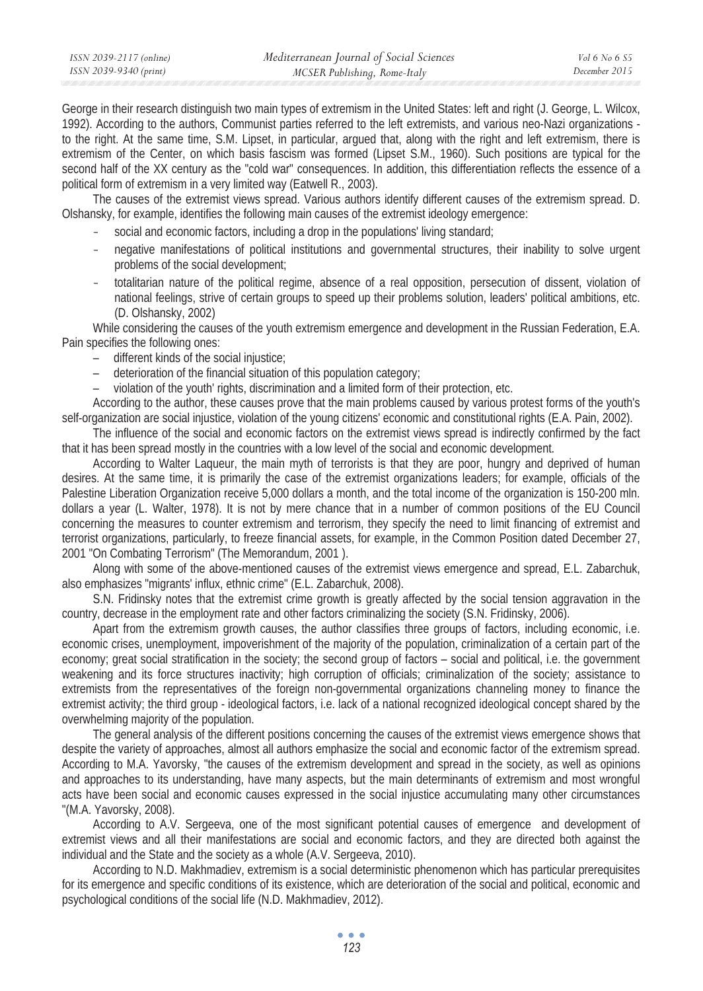| ISSN 2039-2117 (online) | Mediterranean Journal of Social Sciences | <i>Vol</i> 6 No 6 S5 |
|-------------------------|------------------------------------------|----------------------|
| ISSN 2039-9340 (print)  | MCSER Publishing, Rome-Italy             | December 2015        |

George in their research distinguish two main types of extremism in the United States: left and right (J. George, L. Wilcox, 1992). According to the authors, Communist parties referred to the left extremists, and various neo-Nazi organizations to the right. At the same time, S.M. Lipset, in particular, argued that, along with the right and left extremism, there is extremism of the Center, on which basis fascism was formed (Lipset S.M., 1960). Such positions are typical for the second half of the XX century as the "cold war" consequences. In addition, this differentiation reflects the essence of a political form of extremism in a very limited way (Eatwell R., 2003).

The causes of the extremist views spread. Various authors identify different causes of the extremism spread. D. Olshansky, for example, identifies the following main causes of the extremist ideology emergence:

- social and economic factors, including a drop in the populations' living standard;
- negative manifestations of political institutions and governmental structures, their inability to solve urgent problems of the social development;
- totalitarian nature of the political regime, absence of a real opposition, persecution of dissent, violation of national feelings, strive of certain groups to speed up their problems solution, leaders' political ambitions, etc. (D. Olshansky, 2002)

While considering the causes of the youth extremism emergence and development in the Russian Federation, E.A. Pain specifies the following ones:

- different kinds of the social injustice;
- deterioration of the financial situation of this population category;
- violation of the youth' rights, discrimination and a limited form of their protection, etc.

According to the author, these causes prove that the main problems caused by various protest forms of the youth's self-organization are social injustice, violation of the young citizens' economic and constitutional rights (E.A. Pain, 2002).

The influence of the social and economic factors on the extremist views spread is indirectly confirmed by the fact that it has been spread mostly in the countries with a low level of the social and economic development.

According to Walter Laqueur, the main myth of terrorists is that they are poor, hungry and deprived of human desires. At the same time, it is primarily the case of the extremist organizations leaders; for example, officials of the Palestine Liberation Organization receive 5,000 dollars a month, and the total income of the organization is 150-200 mln. dollars a year (L. Walter, 1978). It is not by mere chance that in a number of common positions of the EU Council concerning the measures to counter extremism and terrorism, they specify the need to limit financing of extremist and terrorist organizations, particularly, to freeze financial assets, for example, in the Common Position dated December 27, 2001 "On Combating Terrorism" (The Memorandum, 2001 ).

Along with some of the above-mentioned causes of the extremist views emergence and spread, E.L. Zabarchuk, also emphasizes "migrants' influx, ethnic crime" (E.L. Zabarchuk, 2008).

S.N. Fridinsky notes that the extremist crime growth is greatly affected by the social tension aggravation in the country, decrease in the employment rate and other factors criminalizing the society (S.N. Fridinsky, 2006).

Apart from the extremism growth causes, the author classifies three groups of factors, including economic, i.e. economic crises, unemployment, impoverishment of the majority of the population, criminalization of a certain part of the economy; great social stratification in the society; the second group of factors – social and political, i.e. the government weakening and its force structures inactivity; high corruption of officials; criminalization of the society; assistance to extremists from the representatives of the foreign non-governmental organizations channeling money to finance the extremist activity; the third group - ideological factors, i.e. lack of a national recognized ideological concept shared by the overwhelming majority of the population.

The general analysis of the different positions concerning the causes of the extremist views emergence shows that despite the variety of approaches, almost all authors emphasize the social and economic factor of the extremism spread. According to M.A. Yavorsky, "the causes of the extremism development and spread in the society, as well as opinions and approaches to its understanding, have many aspects, but the main determinants of extremism and most wrongful acts have been social and economic causes expressed in the social injustice accumulating many other circumstances "(M.A. Yavorsky, 2008).

According to A.V. Sergeeva, one of the most significant potential causes of emergence and development of extremist views and all their manifestations are social and economic factors, and they are directed both against the individual and the State and the society as a whole (A.V. Sergeeva, 2010).

According to N.D. Makhmadiev, extremism is a social deterministic phenomenon which has particular prerequisites for its emergence and specific conditions of its existence, which are deterioration of the social and political, economic and psychological conditions of the social life (N.D. Makhmadiev, 2012).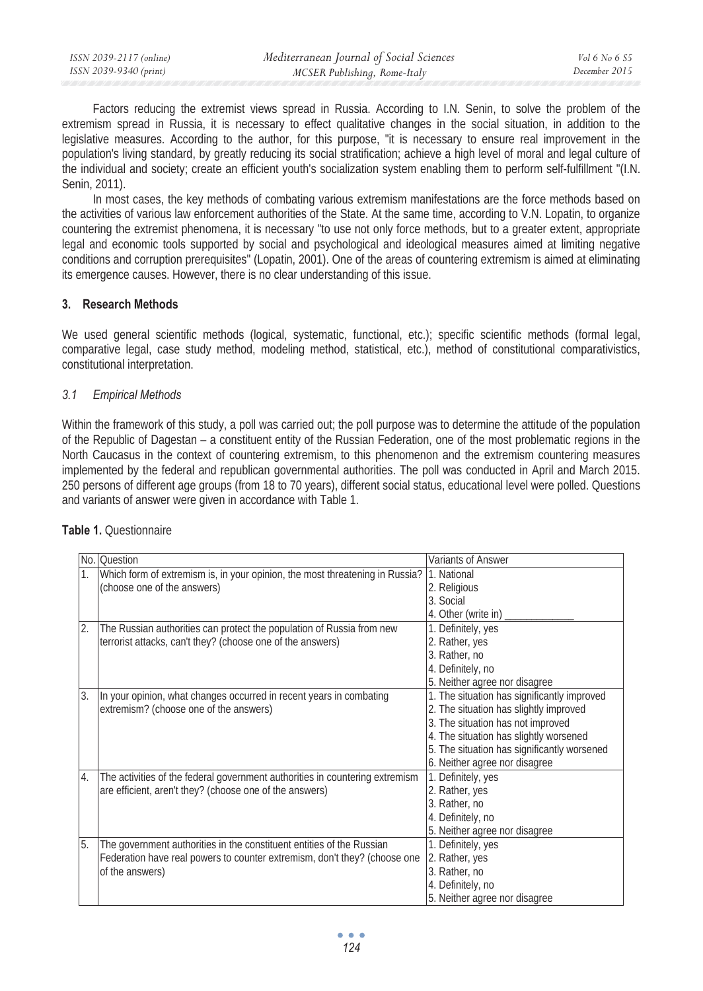Factors reducing the extremist views spread in Russia. According to I.N. Senin, to solve the problem of the extremism spread in Russia, it is necessary to effect qualitative changes in the social situation, in addition to the legislative measures. According to the author, for this purpose, "it is necessary to ensure real improvement in the population's living standard, by greatly reducing its social stratification; achieve a high level of moral and legal culture of the individual and society; create an efficient youth's socialization system enabling them to perform self-fulfillment "(I.N. Senin, 2011).

In most cases, the key methods of combating various extremism manifestations are the force methods based on the activities of various law enforcement authorities of the State. At the same time, according to V.N. Lopatin, to organize countering the extremist phenomena, it is necessary "to use not only force methods, but to a greater extent, appropriate legal and economic tools supported by social and psychological and ideological measures aimed at limiting negative conditions and corruption prerequisites" (Lopatin, 2001). One of the areas of countering extremism is aimed at eliminating its emergence causes. However, there is no clear understanding of this issue.

## **3. Research Methods**

We used general scientific methods (logical, systematic, functional, etc.); specific scientific methods (formal legal, comparative legal, case study method, modeling method, statistical, etc.), method of constitutional comparativistics, constitutional interpretation.

# *3.1 Empirical Methods*

Within the framework of this study, a poll was carried out; the poll purpose was to determine the attitude of the population of the Republic of Dagestan – a constituent entity of the Russian Federation, one of the most problematic regions in the North Caucasus in the context of countering extremism, to this phenomenon and the extremism countering measures implemented by the federal and republican governmental authorities. The poll was conducted in April and March 2015. 250 persons of different age groups (from 18 to 70 years), different social status, educational level were polled. Questions and variants of answer were given in accordance with Table 1.

|    | No. Question                                                                 | Variants of Answer                          |
|----|------------------------------------------------------------------------------|---------------------------------------------|
|    | Which form of extremism is, in your opinion, the most threatening in Russia? | 1. National                                 |
|    | (choose one of the answers)                                                  | 2. Religious                                |
|    |                                                                              | 3. Social                                   |
|    |                                                                              | 4. Other (write in)                         |
| 2. | The Russian authorities can protect the population of Russia from new        | 1. Definitely, yes                          |
|    | terrorist attacks, can't they? (choose one of the answers)                   | 2. Rather, yes                              |
|    |                                                                              | 3. Rather, no                               |
|    |                                                                              | 4. Definitely, no                           |
|    |                                                                              | 5. Neither agree nor disagree               |
| 3. | In your opinion, what changes occurred in recent years in combating          | 1. The situation has significantly improved |
|    | extremism? (choose one of the answers)                                       | 2. The situation has slightly improved      |
|    |                                                                              | 3. The situation has not improved           |
|    |                                                                              | 4. The situation has slightly worsened      |
|    |                                                                              | 5. The situation has significantly worsened |
|    |                                                                              | 6. Neither agree nor disagree               |
| 4. | The activities of the federal government authorities in countering extremism | 1. Definitely, yes                          |
|    | are efficient, aren't they? (choose one of the answers)                      | 2. Rather, yes                              |
|    |                                                                              | 3. Rather, no                               |
|    |                                                                              | 4. Definitely, no                           |
|    |                                                                              | 5. Neither agree nor disagree               |
| 5. | The government authorities in the constituent entities of the Russian        | 1. Definitely, yes                          |
|    | Federation have real powers to counter extremism, don't they? (choose one    | 2. Rather, yes                              |
|    | of the answers)                                                              | 3. Rather, no                               |
|    |                                                                              | 4. Definitely, no                           |
|    |                                                                              | 5. Neither agree nor disagree               |

# **Table 1.** Questionnaire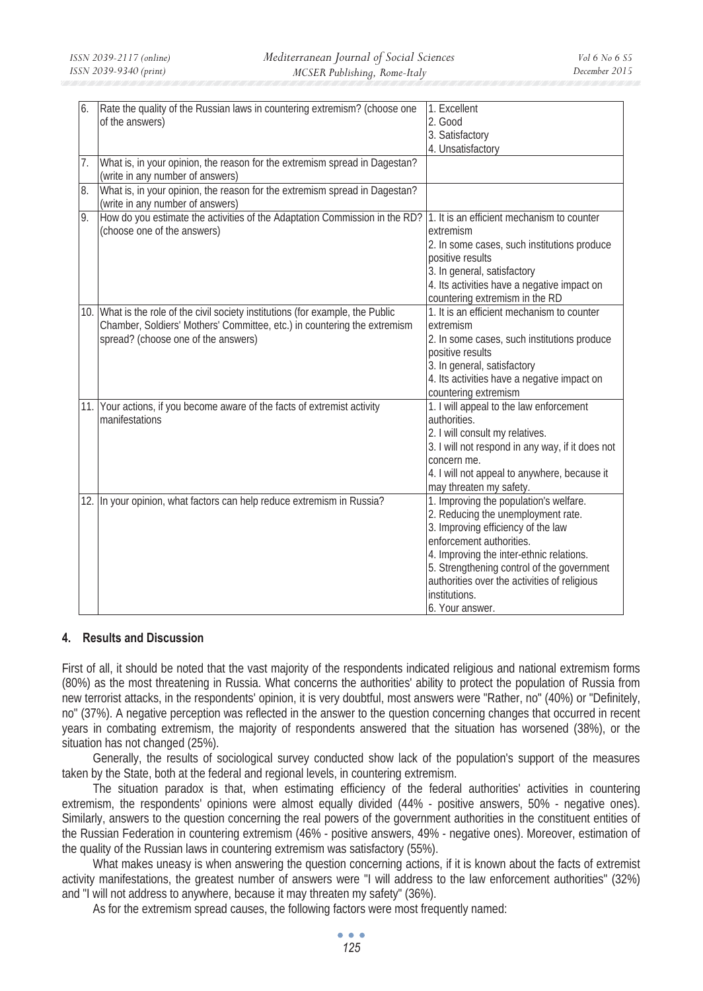| 6. | Rate the quality of the Russian laws in countering extremism? (choose one       | 1. Excellent                                     |
|----|---------------------------------------------------------------------------------|--------------------------------------------------|
|    | of the answers)                                                                 | $2.$ Good                                        |
|    |                                                                                 | 3. Satisfactory                                  |
|    |                                                                                 | 4. Unsatisfactory                                |
| 7. | What is, in your opinion, the reason for the extremism spread in Dagestan?      |                                                  |
|    | (write in any number of answers)                                                |                                                  |
| 8. | What is, in your opinion, the reason for the extremism spread in Dagestan?      |                                                  |
|    | (write in any number of answers)                                                |                                                  |
| 9. | How do you estimate the activities of the Adaptation Commission in the RD?      | 1. It is an efficient mechanism to counter       |
|    | (choose one of the answers)                                                     | extremism                                        |
|    |                                                                                 | 2. In some cases, such institutions produce      |
|    |                                                                                 | positive results                                 |
|    |                                                                                 | 3. In general, satisfactory                      |
|    |                                                                                 | 4. Its activities have a negative impact on      |
|    |                                                                                 | countering extremism in the RD                   |
|    | 10. What is the role of the civil society institutions (for example, the Public | 1. It is an efficient mechanism to counter       |
|    | Chamber, Soldiers' Mothers' Committee, etc.) in countering the extremism        | extremism                                        |
|    | spread? (choose one of the answers)                                             | 2. In some cases, such institutions produce      |
|    |                                                                                 | positive results                                 |
|    |                                                                                 | 3. In general, satisfactory                      |
|    |                                                                                 | 4. Its activities have a negative impact on      |
|    |                                                                                 | countering extremism                             |
|    | 11. Your actions, if you become aware of the facts of extremist activity        | 1. I will appeal to the law enforcement          |
|    | manifestations                                                                  | authorities.                                     |
|    |                                                                                 | 2. I will consult my relatives.                  |
|    |                                                                                 | 3. I will not respond in any way, if it does not |
|    |                                                                                 | concern me.                                      |
|    |                                                                                 | 4. I will not appeal to anywhere, because it     |
|    |                                                                                 | may threaten my safety.                          |
|    | 12. In your opinion, what factors can help reduce extremism in Russia?          | 1. Improving the population's welfare.           |
|    |                                                                                 | 2. Reducing the unemployment rate.               |
|    |                                                                                 | 3. Improving efficiency of the law               |
|    |                                                                                 | enforcement authorities.                         |
|    |                                                                                 | 4. Improving the inter-ethnic relations.         |
|    |                                                                                 | 5. Strengthening control of the government       |
|    |                                                                                 | authorities over the activities of religious     |
|    |                                                                                 | institutions.                                    |
|    |                                                                                 | 6. Your answer.                                  |

### **4. Results and Discussion**

First of all, it should be noted that the vast majority of the respondents indicated religious and national extremism forms (80%) as the most threatening in Russia. What concerns the authorities' ability to protect the population of Russia from new terrorist attacks, in the respondents' opinion, it is very doubtful, most answers were "Rather, no" (40%) or "Definitely, no" (37%). A negative perception was reflected in the answer to the question concerning changes that occurred in recent years in combating extremism, the majority of respondents answered that the situation has worsened (38%), or the situation has not changed (25%).

Generally, the results of sociological survey conducted show lack of the population's support of the measures taken by the State, both at the federal and regional levels, in countering extremism.

The situation paradox is that, when estimating efficiency of the federal authorities' activities in countering extremism, the respondents' opinions were almost equally divided (44% - positive answers, 50% - negative ones). Similarly, answers to the question concerning the real powers of the government authorities in the constituent entities of the Russian Federation in countering extremism (46% - positive answers, 49% - negative ones). Moreover, estimation of the quality of the Russian laws in countering extremism was satisfactory (55%).

What makes uneasy is when answering the question concerning actions, if it is known about the facts of extremist activity manifestations, the greatest number of answers were "I will address to the law enforcement authorities" (32%) and "I will not address to anywhere, because it may threaten my safety" (36%).

As for the extremism spread causes, the following factors were most frequently named: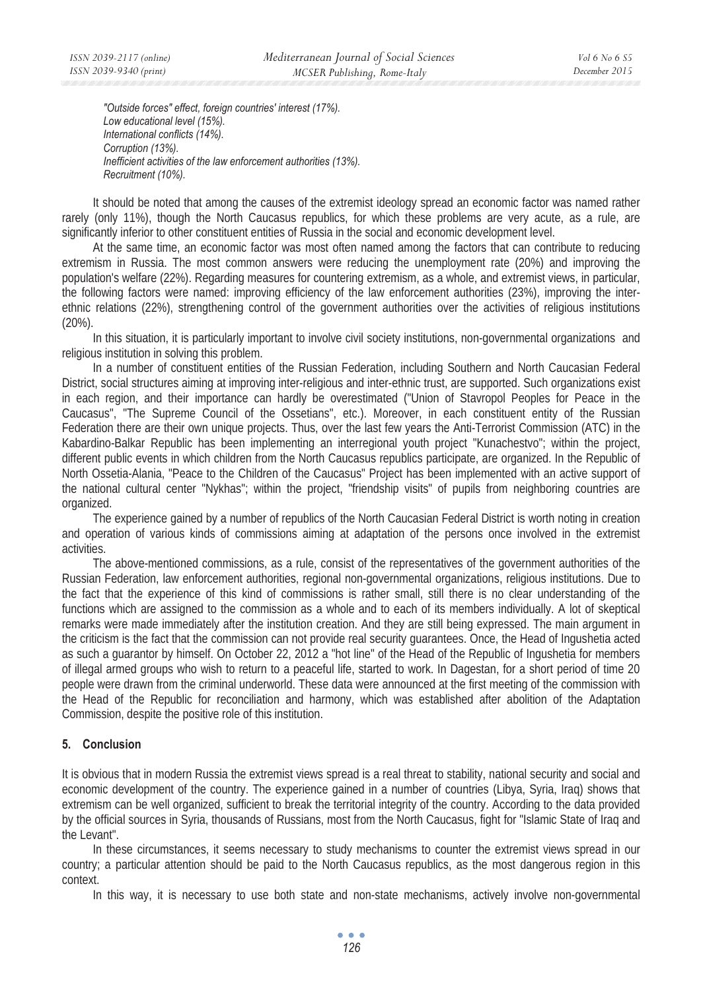*"Outside forces" effect, foreign countries' interest (17%). Low educational level (15%). International conflicts (14%). Corruption (13%). Inefficient activities of the law enforcement authorities (13%). Recruitment (10%).* 

It should be noted that among the causes of the extremist ideology spread an economic factor was named rather rarely (only 11%), though the North Caucasus republics, for which these problems are very acute, as a rule, are significantly inferior to other constituent entities of Russia in the social and economic development level.

At the same time, an economic factor was most often named among the factors that can contribute to reducing extremism in Russia. The most common answers were reducing the unemployment rate (20%) and improving the population's welfare (22%). Regarding measures for countering extremism, as a whole, and extremist views, in particular, the following factors were named: improving efficiency of the law enforcement authorities (23%), improving the interethnic relations (22%), strengthening control of the government authorities over the activities of religious institutions (20%).

In this situation, it is particularly important to involve civil society institutions, non-governmental organizations and religious institution in solving this problem.

In a number of constituent entities of the Russian Federation, including Southern and North Caucasian Federal District, social structures aiming at improving inter-religious and inter-ethnic trust, are supported. Such organizations exist in each region, and their importance can hardly be overestimated ("Union of Stavropol Peoples for Peace in the Caucasus", "The Supreme Council of the Ossetians", etc.). Moreover, in each constituent entity of the Russian Federation there are their own unique projects. Thus, over the last few years the Anti-Terrorist Commission (ATC) in the Kabardino-Balkar Republic has been implementing an interregional youth project "Kunachestvo"; within the project, different public events in which children from the North Caucasus republics participate, are organized. In the Republic of North Ossetia-Alania, "Peace to the Children of the Caucasus" Project has been implemented with an active support of the national cultural center "Nykhas"; within the project, "friendship visits" of pupils from neighboring countries are organized.

The experience gained by a number of republics of the North Caucasian Federal District is worth noting in creation and operation of various kinds of commissions aiming at adaptation of the persons once involved in the extremist activities.

The above-mentioned commissions, as a rule, consist of the representatives of the government authorities of the Russian Federation, law enforcement authorities, regional non-governmental organizations, religious institutions. Due to the fact that the experience of this kind of commissions is rather small, still there is no clear understanding of the functions which are assigned to the commission as a whole and to each of its members individually. A lot of skeptical remarks were made immediately after the institution creation. And they are still being expressed. The main argument in the criticism is the fact that the commission can not provide real security guarantees. Once, the Head of Ingushetia acted as such a guarantor by himself. On October 22, 2012 a "hot line" of the Head of the Republic of Ingushetia for members of illegal armed groups who wish to return to a peaceful life, started to work. In Dagestan, for a short period of time 20 people were drawn from the criminal underworld. These data were announced at the first meeting of the commission with the Head of the Republic for reconciliation and harmony, which was established after abolition of the Adaptation Commission, despite the positive role of this institution.

## **5. Conclusion**

It is obvious that in modern Russia the extremist views spread is a real threat to stability, national security and social and economic development of the country. The experience gained in a number of countries (Libya, Syria, Iraq) shows that extremism can be well organized, sufficient to break the territorial integrity of the country. According to the data provided by the official sources in Syria, thousands of Russians, most from the North Caucasus, fight for "Islamic State of Iraq and the Levant".

In these circumstances, it seems necessary to study mechanisms to counter the extremist views spread in our country; a particular attention should be paid to the North Caucasus republics, as the most dangerous region in this context.

In this way, it is necessary to use both state and non-state mechanisms, actively involve non-governmental